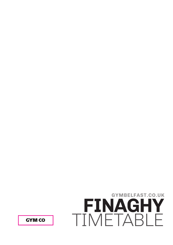**GYM CO** 

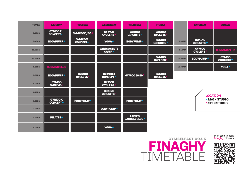

scan code to book<br>**finaghy** classes

| <b>TIMES</b>  | <b>MONDAY</b>                     | <b>TUESDAY</b>                       | <b>WEDNESDAY</b>                      | <b>THURSDAY</b>                       | <b>FRIDAY</b>                        |                | <b>SATURDAY</b>                    | <b>SUNDAY</b>                       |
|---------------|-----------------------------------|--------------------------------------|---------------------------------------|---------------------------------------|--------------------------------------|----------------|------------------------------------|-------------------------------------|
| 6.15AM        | <b>GYMCOX</b><br><b>CONCEPT≠</b>  | GYMCO 50/50 $\triangle$              | <b>GYMCO</b><br>CYCLE 45 <sup>△</sup> | <b>GYMCO</b><br><b>CIRCUITS≠</b>      | <b>GYMCO</b><br><b>CYCLE 45</b>      |                |                                    |                                     |
| 9.45AM        | BODYPUMP≠                         | <b>GYMCOX</b><br><b>CONCEPT≠</b>     | YOGA≠                                 | BODYPUMP≠                             | <b>GYMCO</b><br><b>CIRCUITS≠</b>     | 8.30AM         | <b>BOXING</b><br><b>CIRCUITS</b> ≠ |                                     |
| 10.45AM       |                                   |                                      | <b>GYMCO GLUTE</b><br>CAMP≠           |                                       |                                      | 9.15AM         | <b>GYMCO</b><br>CYCLE 45           | <b>RUNNING CLUB</b>                 |
| 12.30PM       |                                   |                                      |                                       |                                       | <b>GYMCO</b><br><b>CYCLE 30</b>      | <b>10.00AM</b> | BODYPUMP≠                          | <b>GYMCO</b><br><b>CIRCUITS≠</b>    |
| <b>5.30PM</b> | <b>RUNNING CLUB</b>               |                                      |                                       |                                       |                                      | <b>11.00AM</b> |                                    | YOGA≠                               |
| <b>5.30PM</b> | BODYPUMP≠                         | <b>GYMCO</b><br>CYCLE45 <sup>∆</sup> | <b>GYMCOX</b><br><b>CONCEPT≠</b>      | GYMCO 50:50 <sup>△</sup>              | <b>GYMCO</b><br>CYCLE 45 $\triangle$ |                |                                    |                                     |
| <b>6.00PM</b> | <b>GYMCO</b><br><b>CYCLE45</b>    |                                      | <b>GYMCO</b><br>CYCLE 45 $\triangle$  |                                       |                                      |                |                                    |                                     |
| 6.15PM        |                                   |                                      | <b>BOXING</b><br><b>CIRCUITS</b>      |                                       |                                      |                | <b>LOCATION</b>                    |                                     |
| <b>6.30PM</b> | <b>GYMCOX</b><br><b>CONCEPT</b> ≠ | BODYPUMP≠                            |                                       | BODYPUMP≠                             |                                      |                |                                    | $\neq$ MAIN STUDIO<br>△ SPIN STUDIO |
| <b>7.00PM</b> |                                   |                                      | <b>BODYPUMP≠</b>                      |                                       |                                      |                |                                    |                                     |
| <b>7.30PM</b> | <b>PILATES≠</b>                   |                                      |                                       | <b>LADIES</b><br><b>BARBELL CLUB≠</b> |                                      |                |                                    |                                     |
| <b>8.00PM</b> |                                   |                                      | <b>YOGA</b> ≠                         |                                       |                                      |                |                                    |                                     |